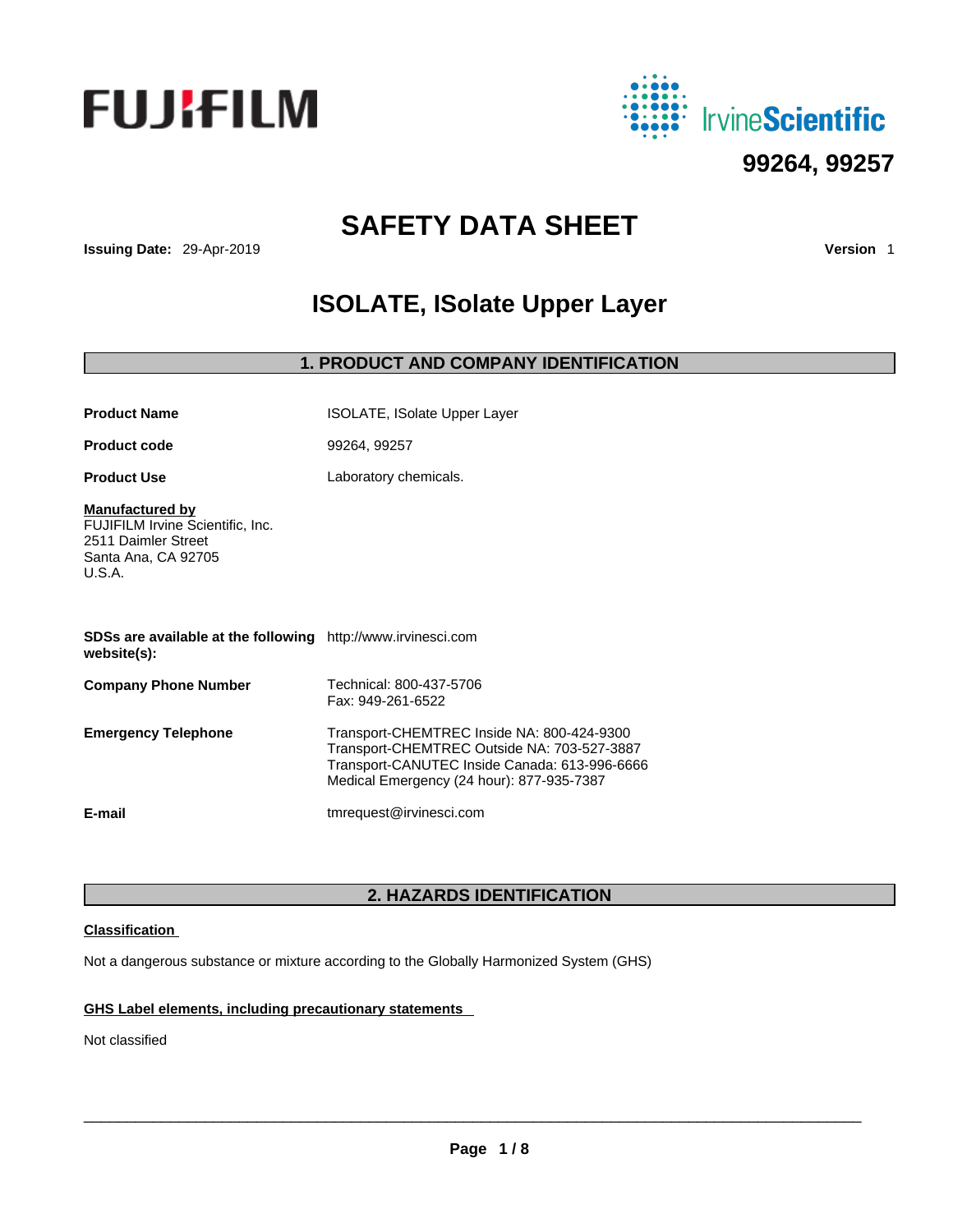



# **SAFETY DATA SHEET**

**Issuing Date:** 29-Apr-2019 **Version** 1

# **ISOLATE, ISolate Upper Layer**

# **1. PRODUCT AND COMPANY IDENTIFICATION**

| <b>Product Name</b>                                                                                                | ISOLATE, ISolate Upper Layer                                                                                                                                                            |
|--------------------------------------------------------------------------------------------------------------------|-----------------------------------------------------------------------------------------------------------------------------------------------------------------------------------------|
| <b>Product code</b>                                                                                                | 99264, 99257                                                                                                                                                                            |
| <b>Product Use</b>                                                                                                 | Laboratory chemicals.                                                                                                                                                                   |
| <b>Manufactured by</b><br>FUJIFILM Irvine Scientific, Inc.<br>2511 Daimler Street<br>Santa Ana, CA 92705<br>U.S.A. |                                                                                                                                                                                         |
| SDSs are available at the following http://www.irvinesci.com<br>website(s):                                        |                                                                                                                                                                                         |
| <b>Company Phone Number</b>                                                                                        | Technical: 800-437-5706<br>Fax: 949-261-6522                                                                                                                                            |
| <b>Emergency Telephone</b>                                                                                         | Transport-CHEMTREC Inside NA: 800-424-9300<br>Transport-CHEMTREC Outside NA: 703-527-3887<br>Transport-CANUTEC Inside Canada: 613-996-6666<br>Medical Emergency (24 hour): 877-935-7387 |
| E-mail                                                                                                             | tmrequest@irvinesci.com                                                                                                                                                                 |

# **2. HAZARDS IDENTIFICATION**

# **Classification**

Not a dangerous substance or mixture according to the Globally Harmonized System (GHS)

# **GHS Label elements, including precautionary statements**

Not classified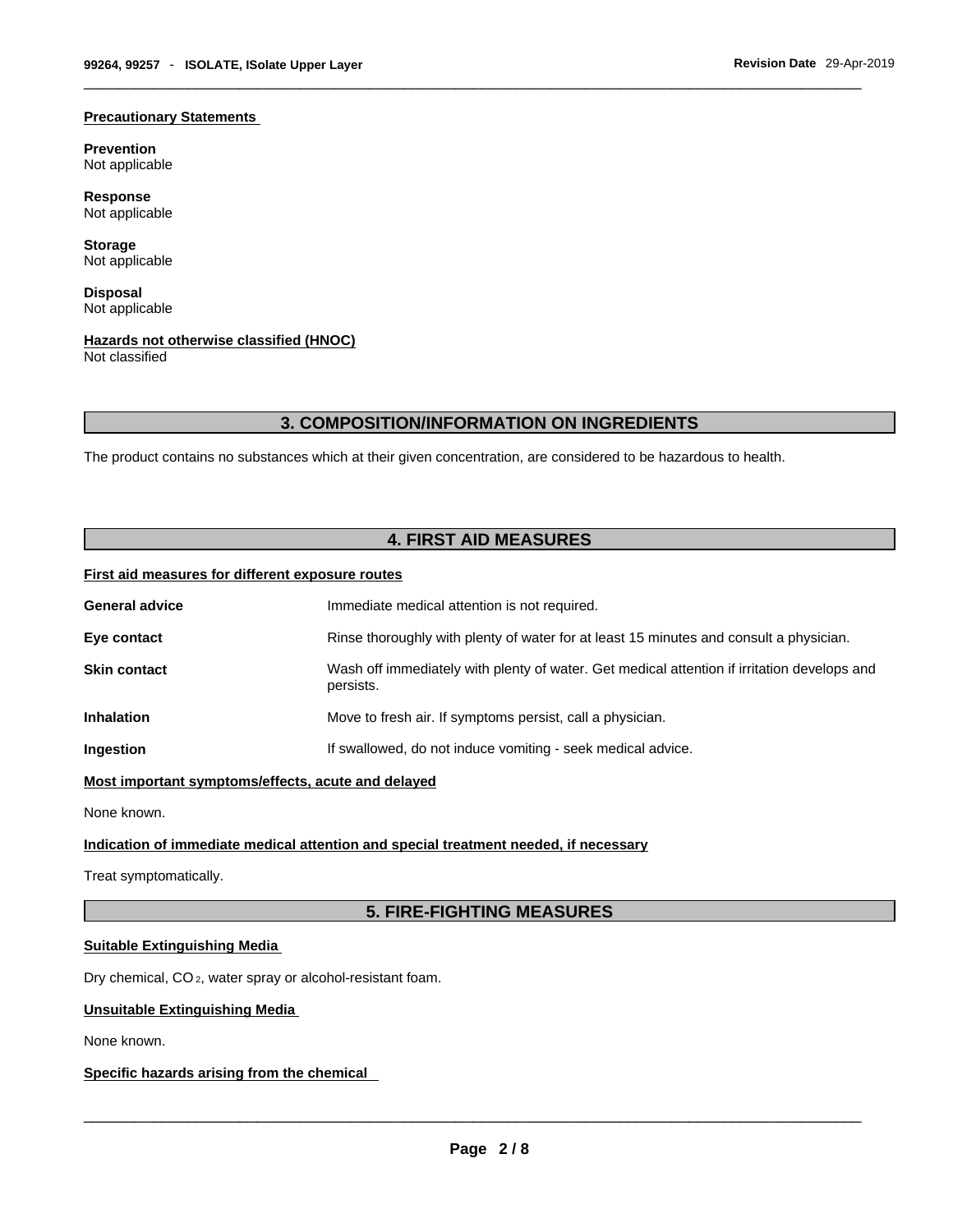### **Precautionary Statements**

**Prevention** Not applicable

**Response** Not applicable

**Storage** Not applicable

**Disposal** Not applicable

# **Hazards not otherwise classified (HNOC)**

Not classified

# **3. COMPOSITION/INFORMATION ON INGREDIENTS**

The product contains no substances which at their given concentration, are considered to be hazardous to health.

# **4. FIRST AID MEASURES**

# **First aid measures for different exposure routes**

| <b>General advice</b> | Immediate medical attention is not required.                                                             |
|-----------------------|----------------------------------------------------------------------------------------------------------|
| Eye contact           | Rinse thoroughly with plenty of water for at least 15 minutes and consult a physician.                   |
| <b>Skin contact</b>   | Wash off immediately with plenty of water. Get medical attention if irritation develops and<br>persists. |
| <b>Inhalation</b>     | Move to fresh air. If symptoms persist, call a physician.                                                |
| Ingestion             | If swallowed, do not induce vomiting - seek medical advice.                                              |
|                       |                                                                                                          |

**Most important symptoms/effects, acute and delayed**

None known.

# **Indication of immediate medical attention and special treatment needed, if necessary**

Treat symptomatically.

# **5. FIRE-FIGHTING MEASURES**

# **Suitable Extinguishing Media**

Dry chemical, CO 2, water spray or alcohol-resistant foam.

# **Unsuitable Extinguishing Media**

None known.

# **Specific hazards arising from the chemical**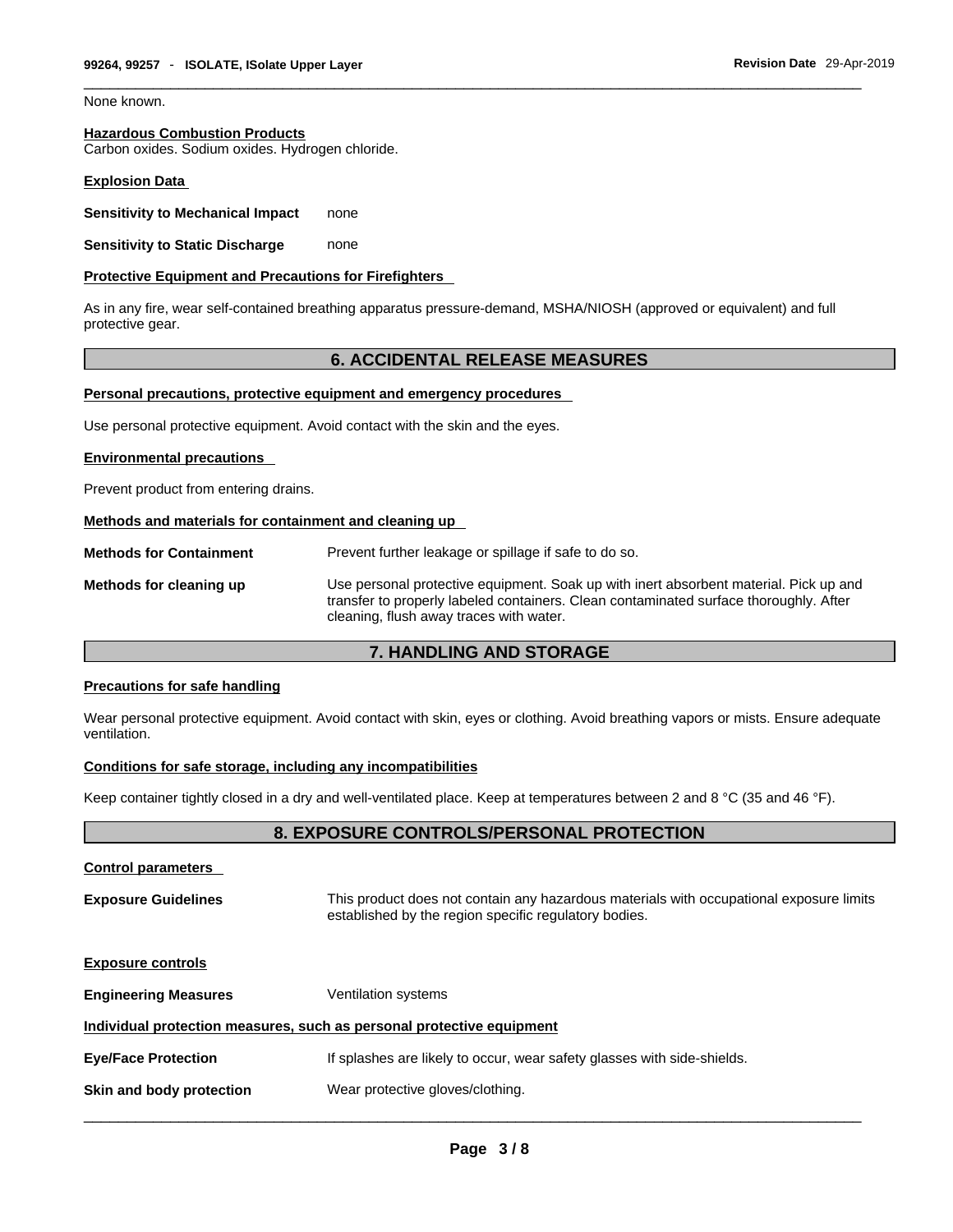None known.

# **Hazardous Combustion Products**

Carbon oxides. Sodium oxides. Hydrogen chloride.

# **Explosion Data**

**Sensitivity to Mechanical Impact** none

**Sensitivity to Static Discharge** none

### **Protective Equipment and Precautions for Firefighters**

As in any fire, wear self-contained breathing apparatus pressure-demand, MSHA/NIOSH (approved or equivalent) and full protective gear.

# **6. ACCIDENTAL RELEASE MEASURES**

### **Personal precautions, protective equipment and emergency procedures**

Use personal protective equipment. Avoid contact with the skin and the eyes.

#### **Environmental precautions**

Prevent product from entering drains.

### **Methods and materials for containment and cleaning up**

**Methods for Containment** Prevent further leakage or spillage if safe to do so. **Methods for cleaning up** Use personal protective equipment. Soak up with inert absorbent material. Pick up and transfer to properly labeled containers. Clean contaminated surface thoroughly. After cleaning, flush away traces with water.

# **7. HANDLING AND STORAGE**

#### **Precautions for safe handling**

Wear personal protective equipment. Avoid contact with skin, eyes or clothing. Avoid breathing vapors or mists. Ensure adequate ventilation.

# **Conditions for safe storage, including any incompatibilities**

Keep container tightly closed in a dry and well-ventilated place. Keep at temperatures between 2 and 8 °C (35 and 46 °F).

# **8. EXPOSURE CONTROLS/PERSONAL PROTECTION**

| <b>Control parameters</b>   |                                                                                                                                                  |
|-----------------------------|--------------------------------------------------------------------------------------------------------------------------------------------------|
| <b>Exposure Guidelines</b>  | This product does not contain any hazardous materials with occupational exposure limits<br>established by the region specific regulatory bodies. |
| <b>Exposure controls</b>    |                                                                                                                                                  |
| <b>Engineering Measures</b> | <b>Ventilation systems</b>                                                                                                                       |
|                             | Individual protection measures, such as personal protective equipment                                                                            |
| <b>Eye/Face Protection</b>  | If splashes are likely to occur, wear safety glasses with side-shields.                                                                          |
| Skin and body protection    | Wear protective gloves/clothing.                                                                                                                 |
|                             |                                                                                                                                                  |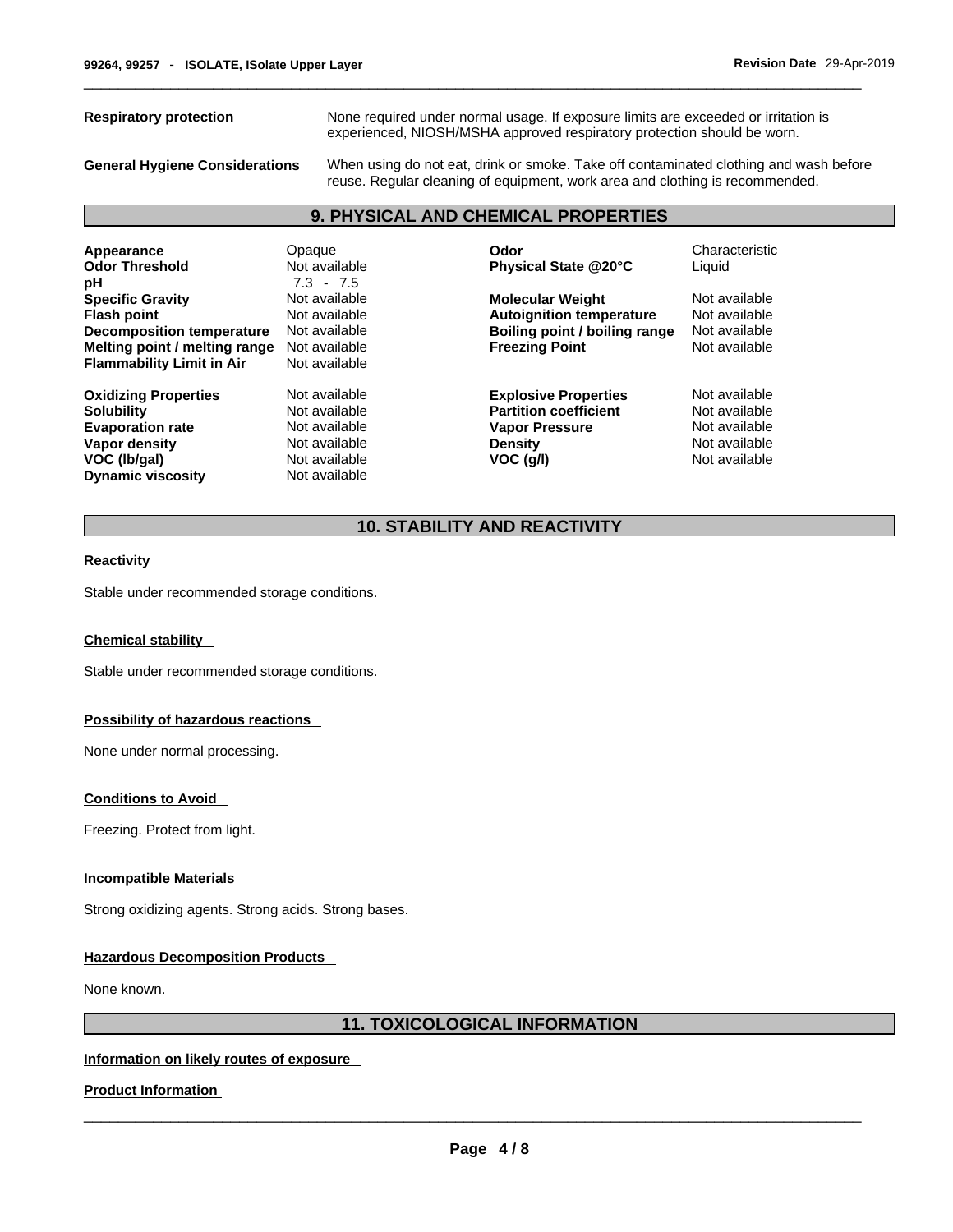**Respiratory protection** None required under normal usage. If exposure limits are exceeded or irritation is experienced, NIOSH/MSHA approved respiratory protection should be worn.

**General Hygiene Considerations** When using do not eat, drink or smoke. Take off contaminated clothing and wash before reuse. Regular cleaning of equipment, work area and clothing is recommended.

# **9. PHYSICAL AND CHEMICAL PROPERTIES**

| Appearance<br><b>Odor Threshold</b><br>рH                                                                                                              | Opaque<br>Not available<br>$7.3 - 7.5$                                                             | Odor<br>Physical State @20°C                                                                                          | Characteristic<br>Liquid                                                          |
|--------------------------------------------------------------------------------------------------------------------------------------------------------|----------------------------------------------------------------------------------------------------|-----------------------------------------------------------------------------------------------------------------------|-----------------------------------------------------------------------------------|
| <b>Specific Gravity</b><br><b>Flash point</b><br><b>Decomposition temperature</b><br>Melting point / melting range<br><b>Flammability Limit in Air</b> | Not available<br>Not available<br>Not available<br>Not available<br>Not available                  | <b>Molecular Weight</b><br><b>Autoignition temperature</b><br>Boiling point / boiling range<br><b>Freezing Point</b>  | Not available<br>Not available<br>Not available<br>Not available                  |
| <b>Oxidizing Properties</b><br><b>Solubility</b><br><b>Evaporation rate</b><br>Vapor density<br>VOC (Ib/gal)<br><b>Dynamic viscosity</b>               | Not available<br>Not available<br>Not available<br>Not available<br>Not available<br>Not available | <b>Explosive Properties</b><br><b>Partition coefficient</b><br><b>Vapor Pressure</b><br><b>Density</b><br>$VOC$ (q/l) | Not available<br>Not available<br>Not available<br>Not available<br>Not available |

# **10. STABILITY AND REACTIVITY**

#### **Reactivity**

Stable under recommended storage conditions.

#### **Chemical stability**

Stable under recommended storage conditions.

#### **Possibility of hazardous reactions**

None under normal processing.

#### **Conditions to Avoid**

Freezing. Protect from light.

#### **Incompatible Materials**

Strong oxidizing agents. Strong acids. Strong bases.

# **Hazardous Decomposition Products**

None known.

# **11. TOXICOLOGICAL INFORMATION**

# **Information on likely routes of exposure**

**Product Information**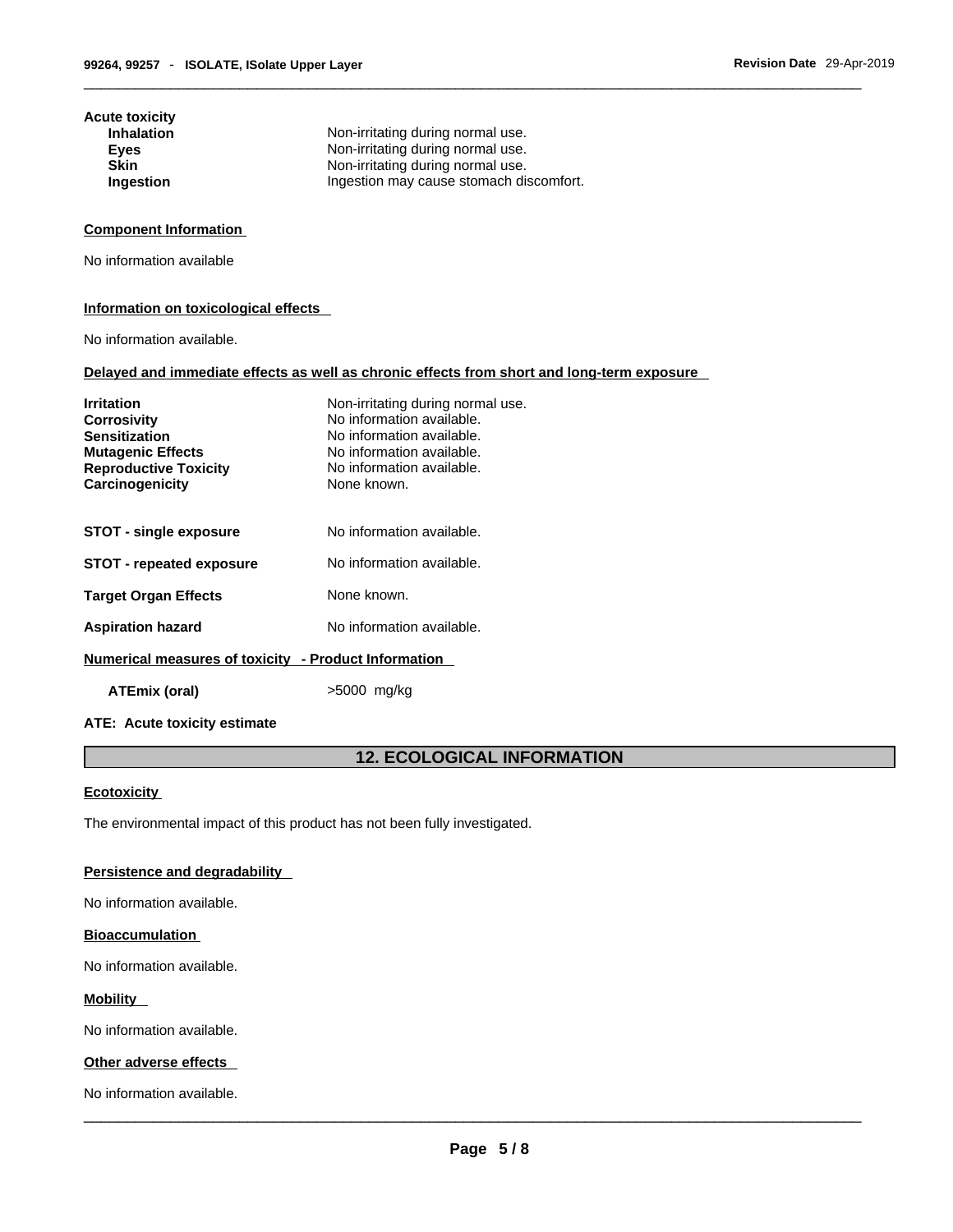| Acute toxicity<br><b>Inhalation</b> | Non-irritating during normal use.       |
|-------------------------------------|-----------------------------------------|
| Eyes                                | Non-irritating during normal use.       |
| <b>Skin</b>                         | Non-irritating during normal use.       |
| Ingestion                           | Ingestion may cause stomach discomfort. |

# **Component Information**

No information available

## **Information on toxicological effects**

No information available.

### **Delayed and immediate effects as well as chronic effects from short and long-term exposure**

| <b>Irritation</b><br><b>Corrosivity</b><br><b>Sensitization</b><br><b>Mutagenic Effects</b><br><b>Reproductive Toxicity</b><br>Carcinogenicity | Non-irritating during normal use.<br>No information available.<br>No information available.<br>No information available.<br>No information available.<br>None known. |
|------------------------------------------------------------------------------------------------------------------------------------------------|----------------------------------------------------------------------------------------------------------------------------------------------------------------------|
| <b>STOT - single exposure</b>                                                                                                                  | No information available.                                                                                                                                            |
| <b>STOT - repeated exposure</b>                                                                                                                | No information available.                                                                                                                                            |
| <b>Target Organ Effects</b>                                                                                                                    | None known.                                                                                                                                                          |
| <b>Aspiration hazard</b>                                                                                                                       | No information available.                                                                                                                                            |
| Numerical measures of toxicity - Product Information                                                                                           |                                                                                                                                                                      |

**ATEmix (oral)** >5000 mg/kg

# **ATE: Acute toxicity estimate**

# **12. ECOLOGICAL INFORMATION**

# **Ecotoxicity**

The environmental impact of this product has not been fully investigated.

# **Persistence and degradability**

No information available.

### **Bioaccumulation**

No information available.

# **Mobility**

No information available.

# **Other adverse effects**

No information available.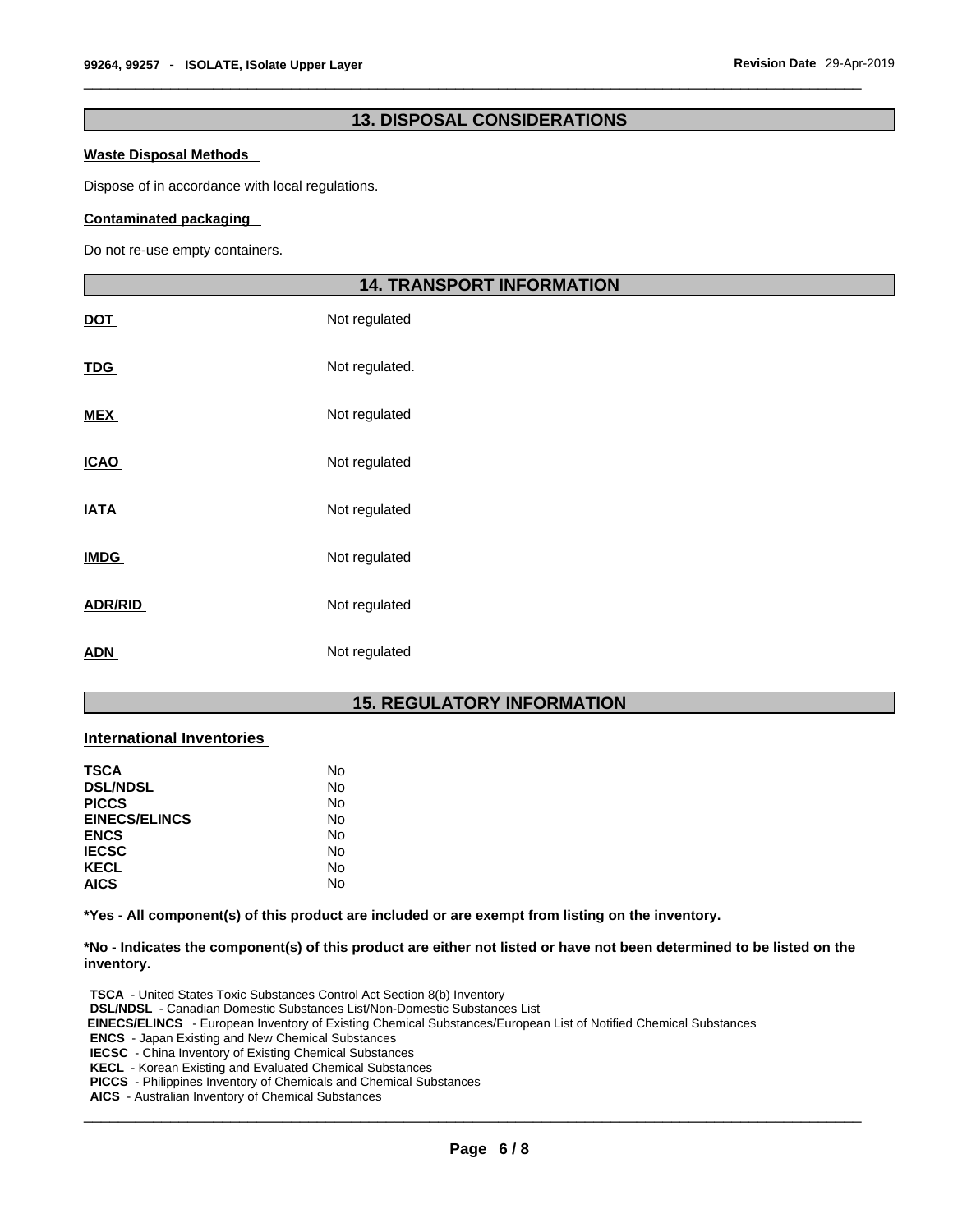# **13. DISPOSAL CONSIDERATIONS**

### **Waste Disposal Methods**

Dispose of in accordance with local regulations.

## **Contaminated packaging**

Do not re-use empty containers.

|                | <b>14. TRANSPORT INFORMATION</b> |  |
|----------------|----------------------------------|--|
| <u>DOT</u>     | Not regulated                    |  |
| <u>TDG</u>     | Not regulated.                   |  |
| <u>MEX</u>     | Not regulated                    |  |
| <b>ICAO</b>    | Not regulated                    |  |
| <b>ATA</b>     | Not regulated                    |  |
| <b>IMDG</b>    | Not regulated                    |  |
| <b>ADR/RID</b> | Not regulated                    |  |
| <u>ADN</u>     | Not regulated                    |  |

# **15. REGULATORY INFORMATION**

# **International Inventories**

| <b>TSCA</b>          | No |
|----------------------|----|
| <b>DSL/NDSL</b>      | No |
| <b>PICCS</b>         | No |
| <b>EINECS/ELINCS</b> | No |
| <b>ENCS</b>          | No |
| <b>IECSC</b>         | No |
| <b>KECL</b>          | No |
| <b>AICS</b>          | No |

**\*Yes - All component(s) of this product are included or are exempt from listing on the inventory.**

\*No - Indicates the component(s) of this product are either not listed or have not been determined to be listed on the **inventory.**

**TSCA** - United States Toxic Substances Control Act Section 8(b) Inventory **DSL/NDSL** - Canadian Domestic Substances List/Non-Domestic Substances List  **EINECS/ELINCS** - European Inventory of Existing Chemical Substances/European List of Notified Chemical Substances **ENCS** - Japan Existing and New Chemical Substances **IECSC** - China Inventory of Existing Chemical Substances **KECL** - Korean Existing and Evaluated Chemical Substances **PICCS** - Philippines Inventory of Chemicals and Chemical Substances **AICS** - Australian Inventory of Chemical Substances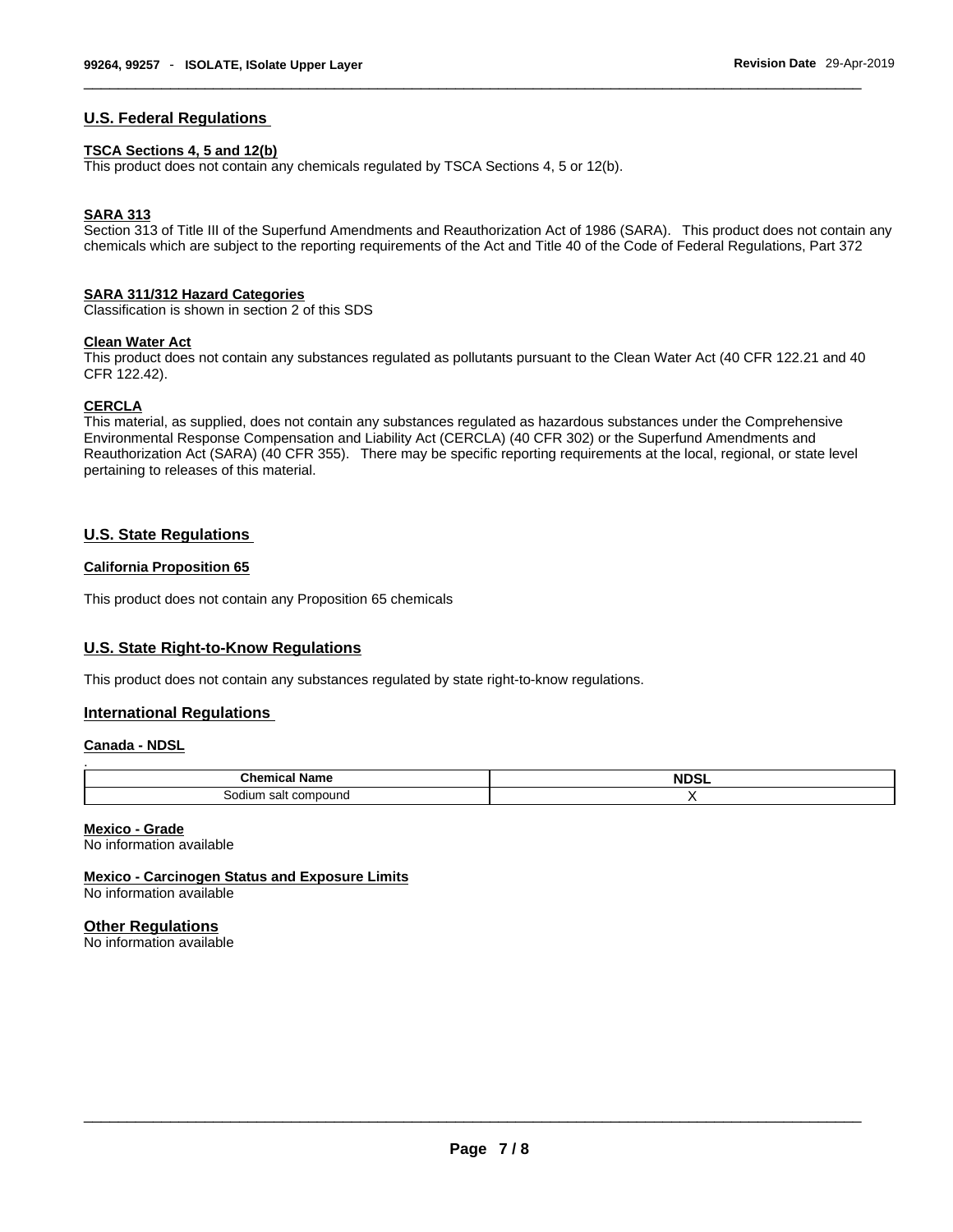# **U.S. Federal Regulations**

#### **TSCA Sections 4, 5 and 12(b)**

This product does not contain any chemicals regulated by TSCA Sections 4, 5 or 12(b).

# **SARA 313**

Section 313 of Title III of the Superfund Amendments and Reauthorization Act of 1986 (SARA). This product does not contain any chemicals which are subject to the reporting requirements of the Act and Title 40 of the Code of Federal Regulations, Part 372

#### **SARA 311/312 Hazard Categories**

Classification is shown in section 2 of this SDS

# **Clean Water Act**

This product does not contain any substances regulated as pollutants pursuant to the Clean Water Act (40 CFR 122.21 and 40 CFR 122.42).

### **CERCLA**

This material, as supplied, does not contain any substances regulated as hazardous substances under the Comprehensive Environmental Response Compensation and Liability Act (CERCLA) (40 CFR 302) or the Superfund Amendments and Reauthorization Act (SARA) (40 CFR 355). There may be specific reporting requirements at the local, regional, or state level pertaining to releases of this material.

# **U.S. State Regulations**

# **California Proposition 65**

This product does not contain any Proposition 65 chemicals

# **U.S. State Right-to-Know Regulations**

This product does not contain any substances regulated by state right-to-know regulations.

# **International Regulations**

## **Canada - NDSL**

| <b>Chemical Name</b> | <b>NDSL</b> |
|----------------------|-------------|
| Sodium salt compound |             |

## **Mexico - Grade**

No information available

**Mexico - Carcinogen Status and Exposure Limits** No information available

## **Other Regulations**

No information available